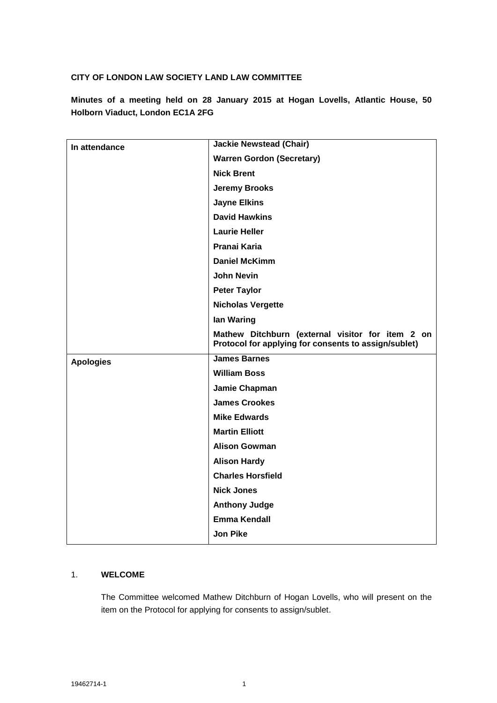### **CITY OF LONDON LAW SOCIETY LAND LAW COMMITTEE**

**Minutes of a meeting held on 28 January 2015 at Hogan Lovells, Atlantic House, 50 Holborn Viaduct, London EC1A 2FG**

| In attendance    | <b>Jackie Newstead (Chair)</b>                                                                           |
|------------------|----------------------------------------------------------------------------------------------------------|
|                  | <b>Warren Gordon (Secretary)</b>                                                                         |
|                  | <b>Nick Brent</b>                                                                                        |
|                  | <b>Jeremy Brooks</b>                                                                                     |
|                  | <b>Jayne Elkins</b>                                                                                      |
|                  | <b>David Hawkins</b>                                                                                     |
|                  | <b>Laurie Heller</b>                                                                                     |
|                  | Pranai Karia                                                                                             |
|                  | <b>Daniel McKimm</b>                                                                                     |
|                  | <b>John Nevin</b>                                                                                        |
|                  | <b>Peter Taylor</b>                                                                                      |
|                  | <b>Nicholas Vergette</b>                                                                                 |
|                  | lan Waring                                                                                               |
|                  | Mathew Ditchburn (external visitor for item 2 on<br>Protocol for applying for consents to assign/sublet) |
| <b>Apologies</b> | <b>James Barnes</b>                                                                                      |
|                  | <b>William Boss</b>                                                                                      |
|                  | Jamie Chapman                                                                                            |
|                  | <b>James Crookes</b>                                                                                     |
|                  | <b>Mike Edwards</b>                                                                                      |
|                  | <b>Martin Elliott</b>                                                                                    |
|                  | <b>Alison Gowman</b>                                                                                     |
|                  | <b>Alison Hardy</b>                                                                                      |
|                  | <b>Charles Horsfield</b>                                                                                 |
|                  | <b>Nick Jones</b>                                                                                        |
|                  | <b>Anthony Judge</b>                                                                                     |
|                  | <b>Emma Kendall</b>                                                                                      |
|                  | <b>Jon Pike</b>                                                                                          |

### 1. **WELCOME**

The Committee welcomed Mathew Ditchburn of Hogan Lovells, who will present on the item on the Protocol for applying for consents to assign/sublet.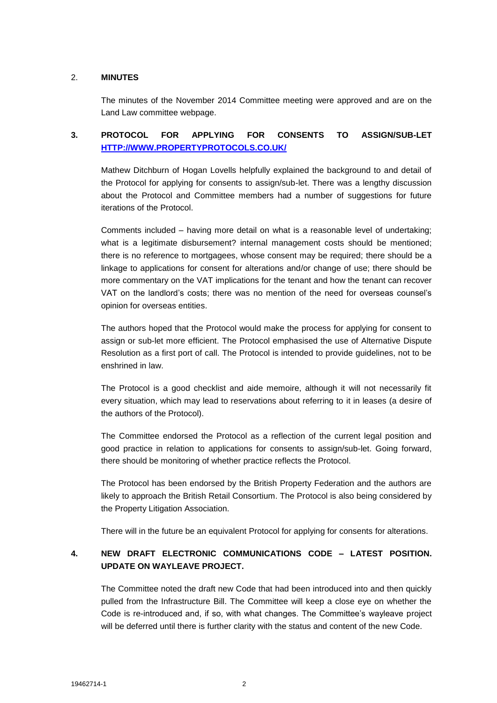#### 2. **MINUTES**

The minutes of the November 2014 Committee meeting were approved and are on the Land Law committee webpage.

# **3. PROTOCOL FOR APPLYING FOR CONSENTS TO ASSIGN/SUB-LET [HTTP://WWW.PROPERTYPROTOCOLS.CO.UK/](http://www.propertyprotocols.co.uk/)**

Mathew Ditchburn of Hogan Lovells helpfully explained the background to and detail of the Protocol for applying for consents to assign/sub-let. There was a lengthy discussion about the Protocol and Committee members had a number of suggestions for future iterations of the Protocol.

Comments included – having more detail on what is a reasonable level of undertaking; what is a legitimate disbursement? internal management costs should be mentioned; there is no reference to mortgagees, whose consent may be required; there should be a linkage to applications for consent for alterations and/or change of use; there should be more commentary on the VAT implications for the tenant and how the tenant can recover VAT on the landlord's costs; there was no mention of the need for overseas counsel's opinion for overseas entities.

The authors hoped that the Protocol would make the process for applying for consent to assign or sub-let more efficient. The Protocol emphasised the use of Alternative Dispute Resolution as a first port of call. The Protocol is intended to provide guidelines, not to be enshrined in law.

The Protocol is a good checklist and aide memoire, although it will not necessarily fit every situation, which may lead to reservations about referring to it in leases (a desire of the authors of the Protocol).

The Committee endorsed the Protocol as a reflection of the current legal position and good practice in relation to applications for consents to assign/sub-let. Going forward, there should be monitoring of whether practice reflects the Protocol.

The Protocol has been endorsed by the British Property Federation and the authors are likely to approach the British Retail Consortium. The Protocol is also being considered by the Property Litigation Association.

There will in the future be an equivalent Protocol for applying for consents for alterations.

# **4. NEW DRAFT ELECTRONIC COMMUNICATIONS CODE – LATEST POSITION. UPDATE ON WAYLEAVE PROJECT.**

The Committee noted the draft new Code that had been introduced into and then quickly pulled from the Infrastructure Bill. The Committee will keep a close eye on whether the Code is re-introduced and, if so, with what changes. The Committee's wayleave project will be deferred until there is further clarity with the status and content of the new Code.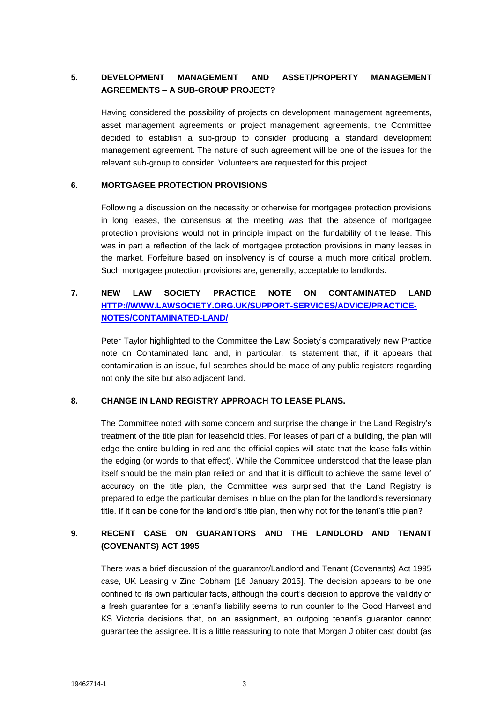### **5. DEVELOPMENT MANAGEMENT AND ASSET/PROPERTY MANAGEMENT AGREEMENTS – A SUB-GROUP PROJECT?**

Having considered the possibility of projects on development management agreements, asset management agreements or project management agreements, the Committee decided to establish a sub-group to consider producing a standard development management agreement. The nature of such agreement will be one of the issues for the relevant sub-group to consider. Volunteers are requested for this project.

#### **6. MORTGAGEE PROTECTION PROVISIONS**

Following a discussion on the necessity or otherwise for mortgagee protection provisions in long leases, the consensus at the meeting was that the absence of mortgagee protection provisions would not in principle impact on the fundability of the lease. This was in part a reflection of the lack of mortgagee protection provisions in many leases in the market. Forfeiture based on insolvency is of course a much more critical problem. Such mortgagee protection provisions are, generally, acceptable to landlords.

## **7. NEW LAW SOCIETY PRACTICE NOTE ON CONTAMINATED LAND [HTTP://WWW.LAWSOCIETY.ORG.UK/SUPPORT-SERVICES/ADVICE/PRACTICE-](http://www.lawsociety.org.uk/support-services/advice/practice-notes/contaminated-land/)[NOTES/CONTAMINATED-LAND/](http://www.lawsociety.org.uk/support-services/advice/practice-notes/contaminated-land/)**

Peter Taylor highlighted to the Committee the Law Society's comparatively new Practice note on Contaminated land and, in particular, its statement that, if it appears that contamination is an issue, full searches should be made of any public registers regarding not only the site but also adjacent land.

#### **8. CHANGE IN LAND REGISTRY APPROACH TO LEASE PLANS.**

The Committee noted with some concern and surprise the change in the Land Registry's treatment of the title plan for leasehold titles. For leases of part of a building, the plan will edge the entire building in red and the official copies will state that the lease falls within the edging (or words to that effect). While the Committee understood that the lease plan itself should be the main plan relied on and that it is difficult to achieve the same level of accuracy on the title plan, the Committee was surprised that the Land Registry is prepared to edge the particular demises in blue on the plan for the landlord's reversionary title. If it can be done for the landlord's title plan, then why not for the tenant's title plan?

# **9. RECENT CASE ON GUARANTORS AND THE LANDLORD AND TENANT (COVENANTS) ACT 1995**

There was a brief discussion of the guarantor/Landlord and Tenant (Covenants) Act 1995 case, UK Leasing v Zinc Cobham [16 January 2015]. The decision appears to be one confined to its own particular facts, although the court's decision to approve the validity of a fresh guarantee for a tenant's liability seems to run counter to the Good Harvest and KS Victoria decisions that, on an assignment, an outgoing tenant's guarantor cannot guarantee the assignee. It is a little reassuring to note that Morgan J obiter cast doubt (as